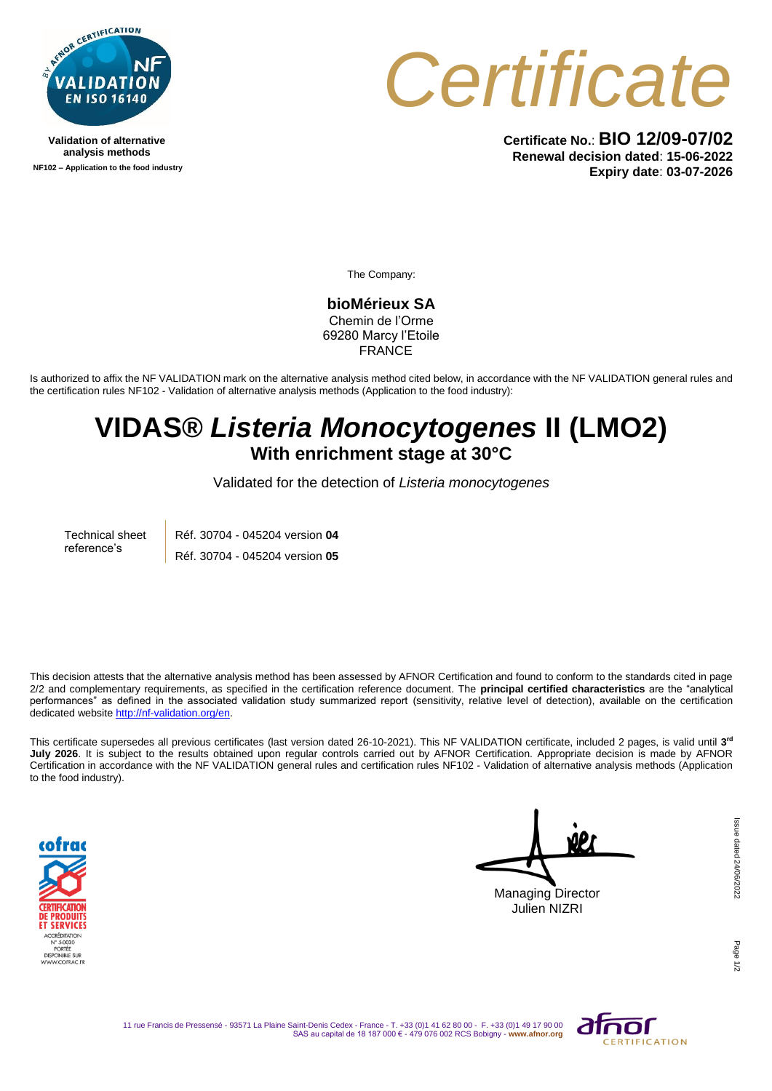

**Validation of alternative analysis methods NF102 – Application to the food industry**



**Certificate No.**: **BIO 12/09-07/02 Renewal decision dated**: **15-06-2022 Expiry date**: **03-07-2026**

The Company:

**bioMérieux SA** Chemin de l'Orme 69280 Marcy l'Etoile **FRANCE** 

Is authorized to affix the NF VALIDATION mark on the alternative analysis method cited below, in accordance with the NF VALIDATION general rules and the certification rules NF102 - Validation of alternative analysis methods (Application to the food industry):

## **VIDAS®** *Listeria Monocytogenes* **II (LMO2) With enrichment stage at 30°C**

Validated for the detection of *Listeria monocytogenes*

Technical sheet reference's Réf. 30704 - 045204 version **04** Réf. 30704 - 045204 version **05**

This decision attests that the alternative analysis method has been assessed by AFNOR Certification and found to conform to the standards cited in page 2/2 and complementary requirements, as specified in the certification reference document. The **principal certified characteristics** are the "analytical performances" as defined in the associated validation study summarized report (sensitivity, relative level of detection), available on the certification dedicated websit[e http://nf-validation.org/en.](http://nf-validation.org/en)

This certificate supersedes all previous certificates (last version dated 26-10-2021). This NF VALIDATION certificate, included 2 pages, is valid until **3 rd July 2026**. It is subject to the results obtained upon regular controls carried out by AFNOR Certification. Appropriate decision is made by AFNOR Certification in accordance with the NF VALIDATION general rules and certification rules NF102 - Validation of alternative analysis methods (Application to the food industry).



Managing Director Julien NIZRI

Page